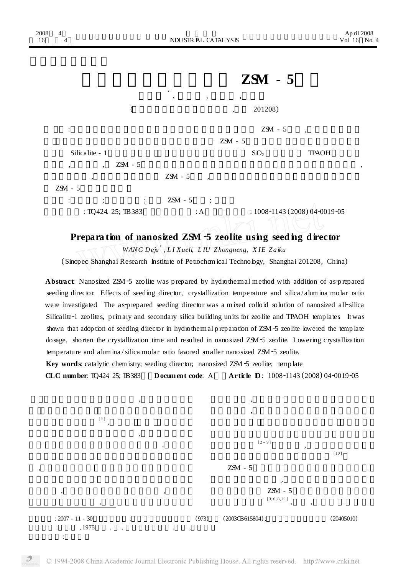| zuuo<br>16 | ┭<br>$\overline{4}$                                  |                    | NDUSTR AL CATALYSIS                   |                                          | $A$ p III 2006<br>Vol 16 No. 4 |  |
|------------|------------------------------------------------------|--------------------|---------------------------------------|------------------------------------------|--------------------------------|--|
|            |                                                      |                    | $ZSM - 5$                             |                                          |                                |  |
|            |                                                      |                    | $\star$<br>$\,$<br>$\,$               | $\bullet$                                |                                |  |
|            |                                                      |                    |                                       | 201208)<br>$\overline{\phantom{a}}$      |                                |  |
|            | $\ddot{\cdot}$                                       |                    |                                       | $ZSM - 5$                                | $\cdot$                        |  |
|            |                                                      |                    |                                       | $ZSM - 5$                                |                                |  |
|            | Silicalite - 1                                       |                    |                                       | SO <sub>2</sub>                          | <b>TPAOH</b>                   |  |
|            | $\overline{\phantom{a}}$<br>$\overline{\phantom{a}}$ | $ZSM - 5$          |                                       |                                          | $\,{}$                         |  |
|            | $\,$                                                 |                    | $ZSM - 5$<br>$\overline{\phantom{a}}$ |                                          |                                |  |
|            | $ZSM - 5$                                            |                    |                                       |                                          |                                |  |
|            | $\vdots$<br>$\ddot{\cdot}$                           | $\vdots$           | $ZSM - 5$<br>$\ddot{\phantom{1}}$     |                                          |                                |  |
|            |                                                      | : TQ424. 25; TB383 | : A                                   | $\therefore$ 1008-1143 (2008) 04-0019-05 |                                |  |

 $A = 12000$ 

**Prepara tion of nanosized ZSM** <sup>2</sup>**<sup>5</sup> zeolite using seeding director**

*WANG Deju* 3 *, L I Xueli, L IU Zhongneng, X IE Zaiku*

(Sinopec Shanghai Research Institute of Petrochem ical Technology, Shanghai 201208, China)

Abstract: Nanosized ZSM-5 zeolite was prepared by hydrothermal method with addition of as-prepared seeding director. Effects of seeding director, crystallization temperature and silica/alum ina molar ratio were investigated. The as-prepared seeding director was a mixed colloid solution of nanosized all-silica Silicalite-1 zeolites, primary and secondary silica building units for zeolite and TPAOH templates. It was shown that adop tion of seeding director in hydrothermal p reparation of ZSM-5 zeolite lowered the temp late dosage, shorten the crystallization time and resulted in nanosized ZSM-5 zeolite. Lowering crystallization temperature and alumina/silica molar ratio favored smaller nanosized ZSM-5 zeolite.

**Article D**: 1008-1143 (2008) 04-0019-05

**Key** words catalytic chem istry; seeding director; nanosized ZSM-5 zeolite; temp late **CLC** number: TQ424 25; TB383 **Document code:** A **Article D**: 1008-1143 (



 $2008$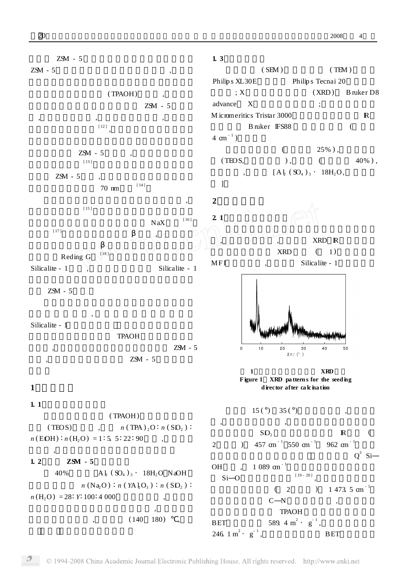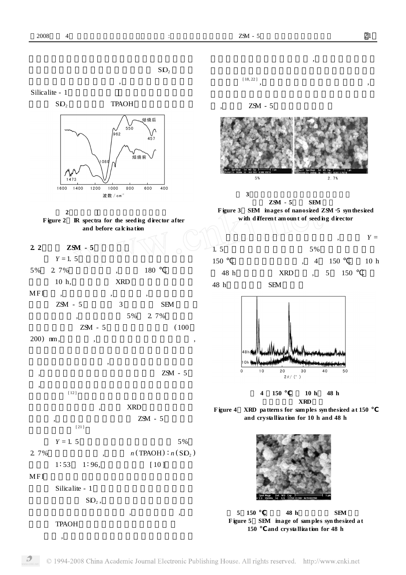$SO<sub>2</sub>$ 





,







[ 12 ]





$$
MFI
$$

Silicalite - 1



TPAOH

,



, ZSM - 5



,

**3 ZSM - 5 SEM Figure <sup>3</sup> SEM images of nanosized ZSM** <sup>2</sup>**<sup>5</sup> syn thesized with d ifferen t am oun t of seed ing d irector**









**5 150 48 h SEM Figure 5 SEM image of sam ples syn thesized a t 150 and crysta lliza tion for 48 h**

, ,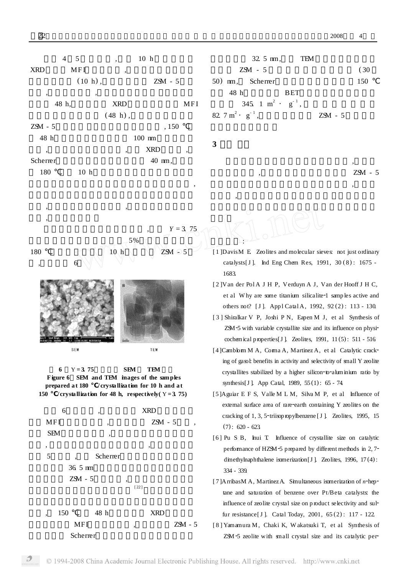

| $32.5 \text{ mm}$ ,                        | TFM        |           |      |
|--------------------------------------------|------------|-----------|------|
| $ZSM - 5$                                  |            |           | (30) |
| 50) m, Scherrer                            |            |           | 150  |
| 48 h                                       | <b>BET</b> |           |      |
| 345. 1 m <sup>2</sup> · $g^{-1}$ ,         |            |           |      |
| 82. $7 \text{ m}^2 \cdot \text{ g}^{-1}$ , |            | $ZSM - 5$ |      |

**3**

,

:

 $Y = 3, 75$ 

, ZSM - 5

,

,

5% 180  $10 h$   $25 M = 5$ , 6

, ,



**6** Y **= 3. 75 SEM TEM Figure 6 SEM and TEM images of the samples prepared a t 180 / crysta lliza tion for 10 h and a t 150** /**crystallization for 48 <b>h**, **respectively**( $Y = 3.75$ )



Scherrer

- [ 1 ]DavisM E. Zeolites and molecular sieves: not just ordinary catalysts[J]. Ind Eng Chem Res, 1991, 30(8): 1675 -1683.
- [ 2 ]Van der Pol A J H P, Verduyn A J, Van der Hooff J H C, et al. Why are some titanium silicalite-1 samples active and others not? [J]. App1 Catal A, 1992, 92(2): 113 - 130.
- [ 3 ] Shiralkar V P, Joshi P N, Eapen M J, et al. Synthesis of ZSM-5 with variable crystallite size and its influence on physicochemical p roperties[J ]. Zeolites, 1991, 11 (5) : 511 - 516.
- [4] Camblorm M A, Corma A, Martinez A, et al. Catalytic cracking of gasol: benefits in activity and selectivity of small Y zeolite crystallites stabilized by a higher silicon-to-aluminium ratio by synthesis[J ]. App Catal, 1989, 55 (1) : 65 - 74.
- [5 ]Aguiar E F S, Valle M L M, Silva M P, et al. Influence of external surface area of rare-earth containing Y zeolites on the cracking of 1, 3, 5-triisopropylbenzene [J ]. Zeolites, 1995, 15  $(7): 620 - 623$
- [6] Pu S B, Inui T. Influence of crystallite size on catalytic performance of HZSM-5 prepared by different methods in 2,7dimethylnaphthalene isomerization[J]. Zeolites, 1996, 17(4): 334 - 339.
- [7] ArribasM A, Martinez A Simultaneous isomerization of *n*-heptane and saturation of benzene over Pt/Beta catalysts: the influence of zeolite crystal size on p roduct selectivity and sulfur resistance[J ]. Catal Today, 2001, 65 (2) : 117 - 122.
- [ 8 ] Yamamura M, Chaki K, W akatsuki T, et al. Synthesis of ZSM-5 zeolite with small crystal size and its catalytic per-

,